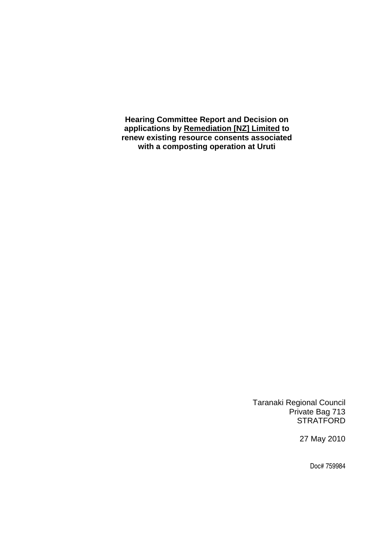**Hearing Committee Report and Decision on applications by Remediation [NZ] Limited to renew existing resource consents associated with a composting operation at Uruti** 

> Taranaki Regional Council Private Bag 713 **STRATFORD**

> > 27 May 2010

Doc# 759984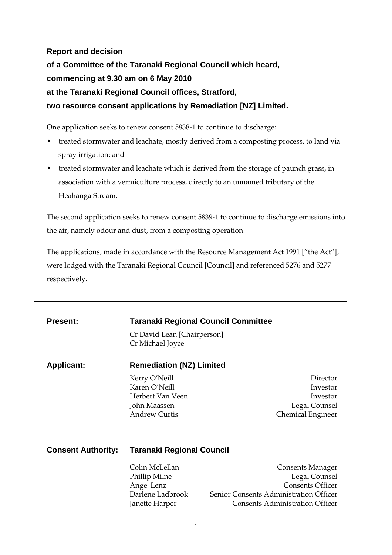# **Report and decision of a Committee of the Taranaki Regional Council which heard, commencing at 9.30 am on 6 May 2010 at the Taranaki Regional Council offices, Stratford, two resource consent applications by Remediation [NZ] Limited.**

One application seeks to renew consent 5838-1 to continue to discharge:

- treated stormwater and leachate, mostly derived from a composting process, to land via spray irrigation; and
- treated stormwater and leachate which is derived from the storage of paunch grass, in association with a vermiculture process, directly to an unnamed tributary of the Heahanga Stream.

The second application seeks to renew consent 5839-1 to continue to discharge emissions into the air, namely odour and dust, from a composting operation.

The applications, made in accordance with the Resource Management Act 1991 ["the Act"], were lodged with the Taranaki Regional Council [Council] and referenced 5276 and 5277 respectively.

| <b>Present:</b>           | <b>Taranaki Regional Council Committee</b>      |                                        |
|---------------------------|-------------------------------------------------|----------------------------------------|
|                           | Cr David Lean [Chairperson]<br>Cr Michael Joyce |                                        |
| <b>Applicant:</b>         | <b>Remediation (NZ) Limited</b>                 |                                        |
|                           | Kerry O'Neill                                   | Director                               |
|                           | Karen O'Neill                                   | Investor                               |
|                           | Herbert Van Veen                                | Investor                               |
|                           | John Maassen                                    | Legal Counsel                          |
|                           | <b>Andrew Curtis</b>                            | <b>Chemical Engineer</b>               |
|                           |                                                 |                                        |
| <b>Consent Authority:</b> | Taranaki Regional Council                       |                                        |
|                           | Colin McLellan                                  | <b>Consents Manager</b>                |
|                           | Phillip Milne                                   | Legal Counsel                          |
|                           | Ange Lenz                                       | <b>Consents Officer</b>                |
|                           | Darlene Ladbrook                                | Senior Consents Administration Officer |
|                           | Janette Harper                                  | <b>Consents Administration Officer</b> |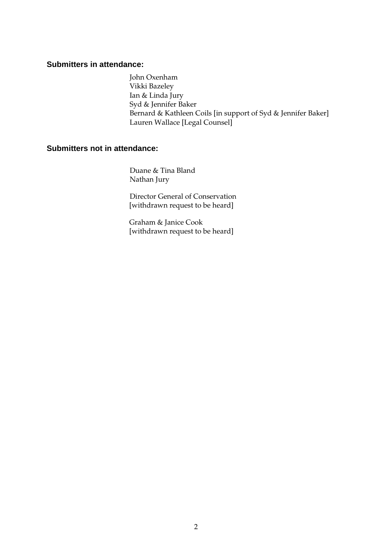#### **Submitters in attendance:**

John Oxenham Vikki Bazeley Ian & Linda Jury Syd & Jennifer Baker Bernard & Kathleen Coils [in support of Syd & Jennifer Baker] Lauren Wallace [Legal Counsel]

### **Submitters not in attendance:**

Duane & Tina Bland Nathan Jury

 Director General of Conservation [withdrawn request to be heard]

Graham & Janice Cook [withdrawn request to be heard]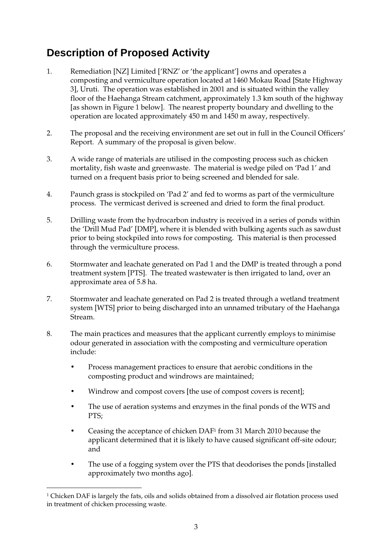# **Description of Proposed Activity**

- 1. Remediation [NZ] Limited ['RNZ' or 'the applicant'] owns and operates a composting and vermiculture operation located at 1460 Mokau Road [State Highway 3], Uruti. The operation was established in 2001 and is situated within the valley floor of the Haehanga Stream catchment, approximately 1.3 km south of the highway [as shown in Figure 1 below]. The nearest property boundary and dwelling to the operation are located approximately 450 m and 1450 m away, respectively.
- 2. The proposal and the receiving environment are set out in full in the Council Officers' Report. A summary of the proposal is given below.
- 3. A wide range of materials are utilised in the composting process such as chicken mortality, fish waste and greenwaste. The material is wedge piled on 'Pad 1' and turned on a frequent basis prior to being screened and blended for sale.
- 4. Paunch grass is stockpiled on 'Pad 2' and fed to worms as part of the vermiculture process. The vermicast derived is screened and dried to form the final product.
- 5. Drilling waste from the hydrocarbon industry is received in a series of ponds within the 'Drill Mud Pad' [DMP], where it is blended with bulking agents such as sawdust prior to being stockpiled into rows for composting. This material is then processed through the vermiculture process.
- 6. Stormwater and leachate generated on Pad 1 and the DMP is treated through a pond treatment system [PTS]. The treated wastewater is then irrigated to land, over an approximate area of 5.8 ha.
- 7. Stormwater and leachate generated on Pad 2 is treated through a wetland treatment system [WTS] prior to being discharged into an unnamed tributary of the Haehanga Stream.
- 8. The main practices and measures that the applicant currently employs to minimise odour generated in association with the composting and vermiculture operation include:
	- Process management practices to ensure that aerobic conditions in the composting product and windrows are maintained;
	- Windrow and compost covers [the use of compost covers is recent];
	- The use of aeration systems and enzymes in the final ponds of the WTS and PTS;
	- Ceasing the acceptance of chicken DAF1 from 31 March 2010 because the applicant determined that it is likely to have caused significant off-site odour; and
	- The use of a fogging system over the PTS that deodorises the ponds [installed approximately two months ago].

1

 $^{\rm 1}$  Chicken DAF is largely the fats, oils and solids obtained from a dissolved air flotation process used in treatment of chicken processing waste.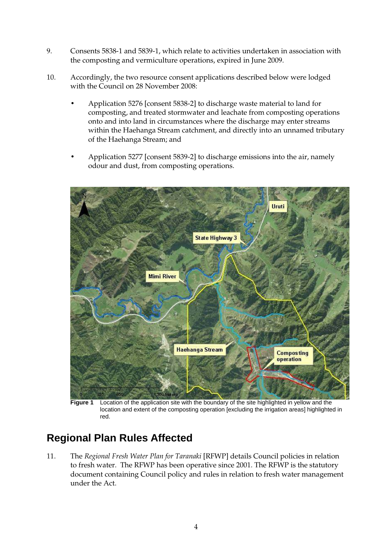- 9. Consents 5838-1 and 5839-1, which relate to activities undertaken in association with the composting and vermiculture operations, expired in June 2009.
- 10. Accordingly, the two resource consent applications described below were lodged with the Council on 28 November 2008:
	- Application 5276 [consent 5838-2] to discharge waste material to land for composting, and treated stormwater and leachate from composting operations onto and into land in circumstances where the discharge may enter streams within the Haehanga Stream catchment, and directly into an unnamed tributary of the Haehanga Stream; and
	- Application 5277 [consent 5839-2] to discharge emissions into the air, namely odour and dust, from composting operations.



 **Figure 1** Location of the application site with the boundary of the site highlighted in yellow and the location and extent of the composting operation [excluding the irrigation areas] highlighted in red.

# **Regional Plan Rules Affected**

11. The *Regional Fresh Water Plan for Taranaki* [RFWP] details Council policies in relation to fresh water. The RFWP has been operative since 2001. The RFWP is the statutory document containing Council policy and rules in relation to fresh water management under the Act.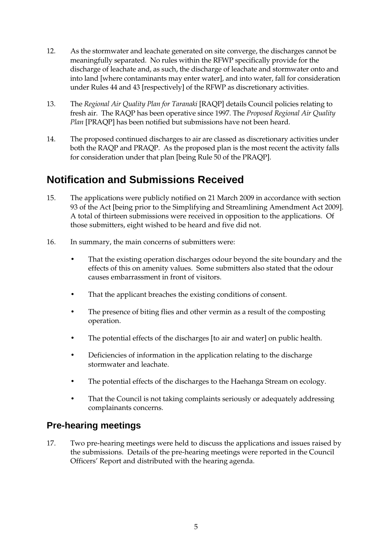- 12. As the stormwater and leachate generated on site converge, the discharges cannot be meaningfully separated. No rules within the RFWP specifically provide for the discharge of leachate and, as such, the discharge of leachate and stormwater onto and into land [where contaminants may enter water], and into water, fall for consideration under Rules 44 and 43 [respectively] of the RFWP as discretionary activities.
- 13. The *Regional Air Quality Plan for Taranaki* [RAQP] details Council policies relating to fresh air. The RAQP has been operative since 1997. The *Proposed Regional Air Quality Plan* [PRAQP] has been notified but submissions have not been heard.
- 14. The proposed continued discharges to air are classed as discretionary activities under both the RAQP and PRAQP. As the proposed plan is the most recent the activity falls for consideration under that plan [being Rule 50 of the PRAQP].

# **Notification and Submissions Received**

- 15. The applications were publicly notified on 21 March 2009 in accordance with section 93 of the Act [being prior to the Simplifying and Streamlining Amendment Act 2009]. A total of thirteen submissions were received in opposition to the applications. Of those submitters, eight wished to be heard and five did not.
- 16. In summary, the main concerns of submitters were:
	- That the existing operation discharges odour beyond the site boundary and the effects of this on amenity values. Some submitters also stated that the odour causes embarrassment in front of visitors.
	- That the applicant breaches the existing conditions of consent.
	- The presence of biting flies and other vermin as a result of the composting operation.
	- The potential effects of the discharges [to air and water] on public health.
	- Deficiencies of information in the application relating to the discharge stormwater and leachate.
	- The potential effects of the discharges to the Haehanga Stream on ecology.
	- That the Council is not taking complaints seriously or adequately addressing complainants concerns.

## **Pre-hearing meetings**

17. Two pre-hearing meetings were held to discuss the applications and issues raised by the submissions. Details of the pre-hearing meetings were reported in the Council Officers' Report and distributed with the hearing agenda.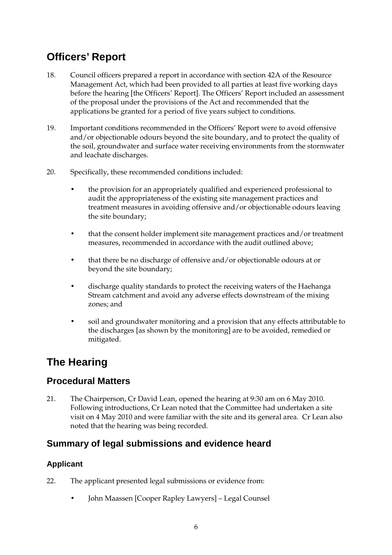# **Officers' Report**

- 18. Council officers prepared a report in accordance with section 42A of the Resource Management Act, which had been provided to all parties at least five working days before the hearing [the Officers' Report]. The Officers' Report included an assessment of the proposal under the provisions of the Act and recommended that the applications be granted for a period of five years subject to conditions.
- 19. Important conditions recommended in the Officers' Report were to avoid offensive and/or objectionable odours beyond the site boundary, and to protect the quality of the soil, groundwater and surface water receiving environments from the stormwater and leachate discharges.
- 20. Specifically, these recommended conditions included:
	- the provision for an appropriately qualified and experienced professional to audit the appropriateness of the existing site management practices and treatment measures in avoiding offensive and/or objectionable odours leaving the site boundary;
	- that the consent holder implement site management practices and/or treatment measures, recommended in accordance with the audit outlined above;
	- that there be no discharge of offensive and/or objectionable odours at or beyond the site boundary;
	- discharge quality standards to protect the receiving waters of the Haehanga Stream catchment and avoid any adverse effects downstream of the mixing zones; and
	- soil and groundwater monitoring and a provision that any effects attributable to the discharges [as shown by the monitoring] are to be avoided, remedied or mitigated.

# **The Hearing**

## **Procedural Matters**

21. The Chairperson, Cr David Lean, opened the hearing at 9:30 am on 6 May 2010. Following introductions, Cr Lean noted that the Committee had undertaken a site visit on 4 May 2010 and were familiar with the site and its general area. Cr Lean also noted that the hearing was being recorded.

## **Summary of legal submissions and evidence heard**

### **Applicant**

- 22. The applicant presented legal submissions or evidence from:
	- John Maassen [Cooper Rapley Lawyers] Legal Counsel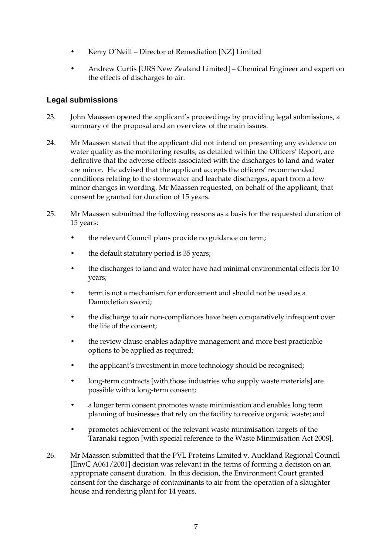- Kerry O'Neill Director of Remediation [NZ] Limited
- Andrew Curtis [URS New Zealand Limited] Chemical Engineer and expert on the effects of discharges to air.

### **Legal submissions**

- 23. John Maassen opened the applicant's proceedings by providing legal submissions, a summary of the proposal and an overview of the main issues.
- 24. Mr Maassen stated that the applicant did not intend on presenting any evidence on water quality as the monitoring results, as detailed within the Officers' Report, are definitive that the adverse effects associated with the discharges to land and water are minor. He advised that the applicant accepts the officers' recommended conditions relating to the stormwater and leachate discharges, apart from a few minor changes in wording. Mr Maassen requested, on behalf of the applicant, that consent be granted for duration of 15 years.
- 25. Mr Maassen submitted the following reasons as a basis for the requested duration of 15 years:
	- the relevant Council plans provide no guidance on term;
	- the default statutory period is 35 years;
	- the discharges to land and water have had minimal environmental effects for 10 years;
	- term is not a mechanism for enforcement and should not be used as a Damocletian sword;
	- the discharge to air non-compliances have been comparatively infrequent over the life of the consent;
	- the review clause enables adaptive management and more best practicable options to be applied as required;
	- the applicant's investment in more technology should be recognised;
	- long-term contracts [with those industries who supply waste materials] are possible with a long-term consent;
	- a longer term consent promotes waste minimisation and enables long term planning of businesses that rely on the facility to receive organic waste; and
	- promotes achievement of the relevant waste minimisation targets of the Taranaki region [with special reference to the Waste Minimisation Act 2008].
- 26. Mr Maassen submitted that the PVL Proteins Limited v. Auckland Regional Council [EnvC A061/2001] decision was relevant in the terms of forming a decision on an appropriate consent duration. In this decision, the Environment Court granted consent for the discharge of contaminants to air from the operation of a slaughter house and rendering plant for 14 years.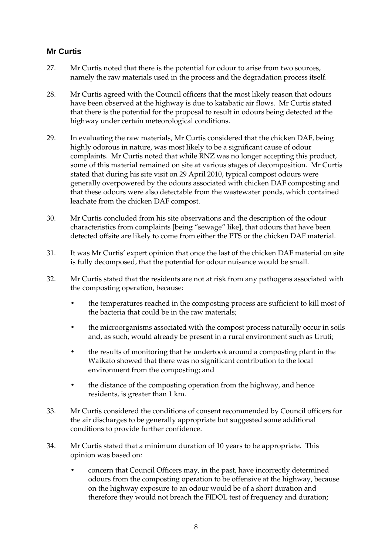### **Mr Curtis**

- 27. Mr Curtis noted that there is the potential for odour to arise from two sources, namely the raw materials used in the process and the degradation process itself.
- 28. Mr Curtis agreed with the Council officers that the most likely reason that odours have been observed at the highway is due to katabatic air flows. Mr Curtis stated that there is the potential for the proposal to result in odours being detected at the highway under certain meteorological conditions.
- 29. In evaluating the raw materials, Mr Curtis considered that the chicken DAF, being highly odorous in nature, was most likely to be a significant cause of odour complaints. Mr Curtis noted that while RNZ was no longer accepting this product, some of this material remained on site at various stages of decomposition. Mr Curtis stated that during his site visit on 29 April 2010, typical compost odours were generally overpowered by the odours associated with chicken DAF composting and that these odours were also detectable from the wastewater ponds, which contained leachate from the chicken DAF compost.
- 30. Mr Curtis concluded from his site observations and the description of the odour characteristics from complaints [being "sewage" like], that odours that have been detected offsite are likely to come from either the PTS or the chicken DAF material.
- 31. It was Mr Curtis' expert opinion that once the last of the chicken DAF material on site is fully decomposed, that the potential for odour nuisance would be small.
- 32. Mr Curtis stated that the residents are not at risk from any pathogens associated with the composting operation, because:
	- the temperatures reached in the composting process are sufficient to kill most of the bacteria that could be in the raw materials;
	- the microorganisms associated with the compost process naturally occur in soils and, as such, would already be present in a rural environment such as Uruti;
	- the results of monitoring that he undertook around a composting plant in the Waikato showed that there was no significant contribution to the local environment from the composting; and
	- the distance of the composting operation from the highway, and hence residents, is greater than 1 km.
- 33. Mr Curtis considered the conditions of consent recommended by Council officers for the air discharges to be generally appropriate but suggested some additional conditions to provide further confidence.
- 34. Mr Curtis stated that a minimum duration of 10 years to be appropriate. This opinion was based on:
	- concern that Council Officers may, in the past, have incorrectly determined odours from the composting operation to be offensive at the highway, because on the highway exposure to an odour would be of a short duration and therefore they would not breach the FIDOL test of frequency and duration;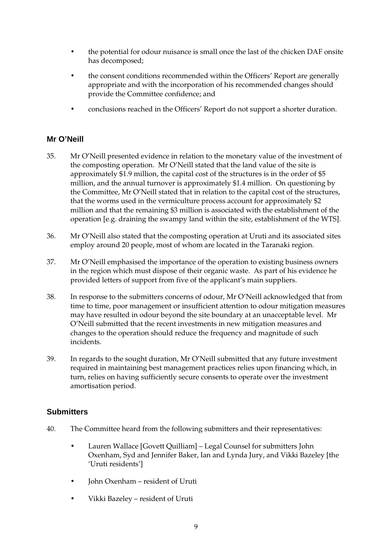- the potential for odour nuisance is small once the last of the chicken DAF onsite has decomposed;
- the consent conditions recommended within the Officers' Report are generally appropriate and with the incorporation of his recommended changes should provide the Committee confidence; and
- conclusions reached in the Officers' Report do not support a shorter duration.

### **Mr O'Neill**

- 35. Mr O'Neill presented evidence in relation to the monetary value of the investment of the composting operation. Mr O'Neill stated that the land value of the site is approximately \$1.9 million, the capital cost of the structures is in the order of \$5 million, and the annual turnover is approximately \$1.4 million. On questioning by the Committee, Mr O'Neill stated that in relation to the capital cost of the structures, that the worms used in the vermiculture process account for approximately \$2 million and that the remaining \$3 million is associated with the establishment of the operation [e.g. draining the swampy land within the site, establishment of the WTS].
- 36. Mr O'Neill also stated that the composting operation at Uruti and its associated sites employ around 20 people, most of whom are located in the Taranaki region.
- 37. Mr O'Neill emphasised the importance of the operation to existing business owners in the region which must dispose of their organic waste. As part of his evidence he provided letters of support from five of the applicant's main suppliers.
- 38. In response to the submitters concerns of odour, Mr O'Neill acknowledged that from time to time, poor management or insufficient attention to odour mitigation measures may have resulted in odour beyond the site boundary at an unacceptable level. Mr O'Neill submitted that the recent investments in new mitigation measures and changes to the operation should reduce the frequency and magnitude of such incidents.
- 39. In regards to the sought duration, Mr O'Neill submitted that any future investment required in maintaining best management practices relies upon financing which, in turn, relies on having sufficiently secure consents to operate over the investment amortisation period.

### **Submitters**

- 40. The Committee heard from the following submitters and their representatives:
	- Lauren Wallace [Govett Quilliam] Legal Counsel for submitters John Oxenham, Syd and Jennifer Baker, Ian and Lynda Jury, and Vikki Bazeley [the 'Uruti residents']
	- John Oxenham resident of Uruti
	- Vikki Bazeley resident of Uruti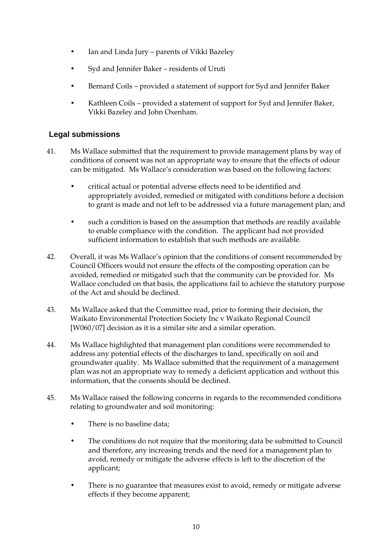- Ian and Linda Jury parents of Vikki Bazeley
- Syd and Jennifer Baker residents of Uruti
- Bernard Coils provided a statement of support for Syd and Jennifer Baker
- Kathleen Coils provided a statement of support for Syd and Jennifer Baker, Vikki Bazeley and John Oxenham.

### **Legal submissions**

- 41. Ms Wallace submitted that the requirement to provide management plans by way of conditions of consent was not an appropriate way to ensure that the effects of odour can be mitigated. Ms Wallace's consideration was based on the following factors:
	- critical actual or potential adverse effects need to be identified and appropriately avoided, remedied or mitigated with conditions before a decision to grant is made and not left to be addressed via a future management plan; and
	- such a condition is based on the assumption that methods are readily available to enable compliance with the condition. The applicant had not provided sufficient information to establish that such methods are available.
- 42. Overall, it was Ms Wallace's opinion that the conditions of consent recommended by Council Officers would not ensure the effects of the composting operation can be avoided, remedied or mitigated such that the community can be provided for. Ms Wallace concluded on that basis, the applications fail to achieve the statutory purpose of the Act and should be declined.
- 43. Ms Wallace asked that the Committee read, prior to forming their decision, the Waikato Environmental Protection Society Inc v Waikato Regional Council [W060/07] decision as it is a similar site and a similar operation.
- 44. Ms Wallace highlighted that management plan conditions were recommended to address any potential effects of the discharges to land, specifically on soil and groundwater quality. Ms Wallace submitted that the requirement of a management plan was not an appropriate way to remedy a deficient application and without this information, that the consents should be declined.
- 45. Ms Wallace raised the following concerns in regards to the recommended conditions relating to groundwater and soil monitoring:
	- There is no baseline data:
	- The conditions do not require that the monitoring data be submitted to Council and therefore, any increasing trends and the need for a management plan to avoid, remedy or mitigate the adverse effects is left to the discretion of the applicant;
	- There is no guarantee that measures exist to avoid, remedy or mitigate adverse effects if they become apparent;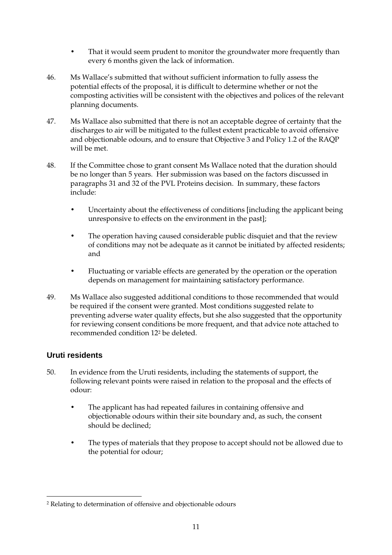- That it would seem prudent to monitor the groundwater more frequently than every 6 months given the lack of information.
- 46. Ms Wallace's submitted that without sufficient information to fully assess the potential effects of the proposal, it is difficult to determine whether or not the composting activities will be consistent with the objectives and polices of the relevant planning documents.
- 47. Ms Wallace also submitted that there is not an acceptable degree of certainty that the discharges to air will be mitigated to the fullest extent practicable to avoid offensive and objectionable odours, and to ensure that Objective 3 and Policy 1.2 of the RAQP will be met.
- 48. If the Committee chose to grant consent Ms Wallace noted that the duration should be no longer than 5 years. Her submission was based on the factors discussed in paragraphs 31 and 32 of the PVL Proteins decision. In summary, these factors include:
	- Uncertainty about the effectiveness of conditions [including the applicant being unresponsive to effects on the environment in the past];
	- The operation having caused considerable public disquiet and that the review of conditions may not be adequate as it cannot be initiated by affected residents; and
	- Fluctuating or variable effects are generated by the operation or the operation depends on management for maintaining satisfactory performance.
- 49. Ms Wallace also suggested additional conditions to those recommended that would be required if the consent were granted. Most conditions suggested relate to preventing adverse water quality effects, but she also suggested that the opportunity for reviewing consent conditions be more frequent, and that advice note attached to recommended condition 122 be deleted.

#### **Uruti residents**

- 50. In evidence from the Uruti residents, including the statements of support, the following relevant points were raised in relation to the proposal and the effects of odour:
	- The applicant has had repeated failures in containing offensive and objectionable odours within their site boundary and, as such, the consent should be declined;
	- The types of materials that they propose to accept should not be allowed due to the potential for odour;

 $\overline{a}$ 2 Relating to determination of offensive and objectionable odours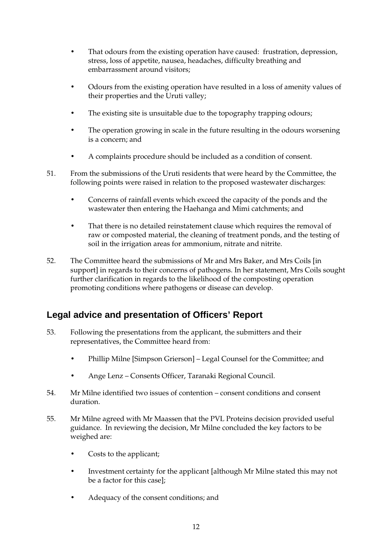- That odours from the existing operation have caused: frustration, depression, stress, loss of appetite, nausea, headaches, difficulty breathing and embarrassment around visitors;
- Odours from the existing operation have resulted in a loss of amenity values of their properties and the Uruti valley;
- The existing site is unsuitable due to the topography trapping odours;
- The operation growing in scale in the future resulting in the odours worsening is a concern; and
- A complaints procedure should be included as a condition of consent.
- 51. From the submissions of the Uruti residents that were heard by the Committee, the following points were raised in relation to the proposed wastewater discharges:
	- Concerns of rainfall events which exceed the capacity of the ponds and the wastewater then entering the Haehanga and Mimi catchments; and
	- That there is no detailed reinstatement clause which requires the removal of raw or composted material, the cleaning of treatment ponds, and the testing of soil in the irrigation areas for ammonium, nitrate and nitrite.
- 52. The Committee heard the submissions of Mr and Mrs Baker, and Mrs Coils [in support] in regards to their concerns of pathogens. In her statement, Mrs Coils sought further clarification in regards to the likelihood of the composting operation promoting conditions where pathogens or disease can develop.

## **Legal advice and presentation of Officers' Report**

- 53. Following the presentations from the applicant, the submitters and their representatives, the Committee heard from:
	- Phillip Milne [Simpson Grierson] Legal Counsel for the Committee; and
	- Ange Lenz Consents Officer, Taranaki Regional Council.
- 54. Mr Milne identified two issues of contention consent conditions and consent duration.
- 55. Mr Milne agreed with Mr Maassen that the PVL Proteins decision provided useful guidance. In reviewing the decision, Mr Milne concluded the key factors to be weighed are:
	- Costs to the applicant;
	- Investment certainty for the applicant [although Mr Milne stated this may not be a factor for this case];
	- Adequacy of the consent conditions; and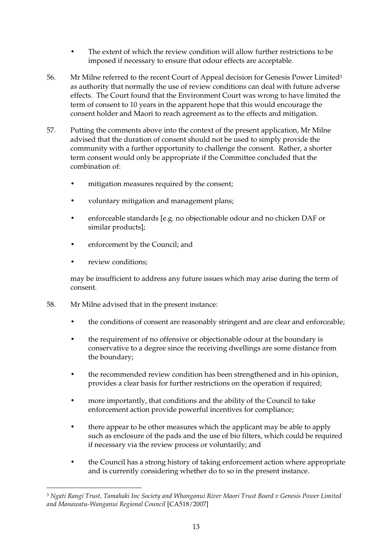- The extent of which the review condition will allow further restrictions to be imposed if necessary to ensure that odour effects are acceptable.
- 56. Mr Milne referred to the recent Court of Appeal decision for Genesis Power Limited<sup>3</sup> as authority that normally the use of review conditions can deal with future adverse effects. The Court found that the Environment Court was wrong to have limited the term of consent to 10 years in the apparent hope that this would encourage the consent holder and Maori to reach agreement as to the effects and mitigation.
- 57. Putting the comments above into the context of the present application, Mr Milne advised that the duration of consent should not be used to simply provide the community with a further opportunity to challenge the consent. Rather, a shorter term consent would only be appropriate if the Committee concluded that the combination of:
	- mitigation measures required by the consent;
	- voluntary mitigation and management plans;
	- enforceable standards [e.g. no objectionable odour and no chicken DAF or similar products];
	- enforcement by the Council; and
	- review conditions;

may be insufficient to address any future issues which may arise during the term of consent.

- 58. Mr Milne advised that in the present instance:
	- the conditions of consent are reasonably stringent and are clear and enforceable;
	- the requirement of no offensive or objectionable odour at the boundary is conservative to a degree since the receiving dwellings are some distance from the boundary;
	- the recommended review condition has been strengthened and in his opinion, provides a clear basis for further restrictions on the operation if required;
	- more importantly, that conditions and the ability of the Council to take enforcement action provide powerful incentives for compliance;
	- there appear to be other measures which the applicant may be able to apply such as enclosure of the pads and the use of bio filters, which could be required if necessary via the review process or voluntarily; and
	- the Council has a strong history of taking enforcement action where appropriate and is currently considering whether do to so in the present instance.

<sup>1</sup> <sup>3</sup> *Ngati Rangi Trust, Tamahaki Inc Society and Whanganui River Maori Trust Board v Genesis Power Limited and Manawatu-Wanganui Regional Council* [CA518/2007]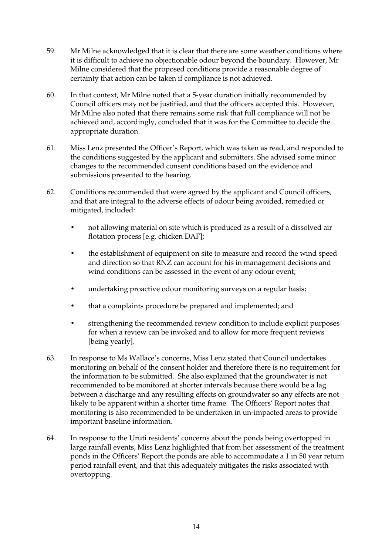- 59. Mr Milne acknowledged that it is clear that there are some weather conditions where it is difficult to achieve no objectionable odour beyond the boundary. However, Mr Milne considered that the proposed conditions provide a reasonable degree of certainty that action can be taken if compliance is not achieved.
- 60. In that context, Mr Milne noted that a 5-year duration initially recommended by Council officers may not be justified, and that the officers accepted this. However, Mr Milne also noted that there remains some risk that full compliance will not be achieved and, accordingly, concluded that it was for the Committee to decide the appropriate duration.
- 61. Miss Lenz presented the Officer's Report, which was taken as read, and responded to the conditions suggested by the applicant and submitters. She advised some minor changes to the recommended consent conditions based on the evidence and submissions presented to the hearing.
- 62. Conditions recommended that were agreed by the applicant and Council officers, and that are integral to the adverse effects of odour being avoided, remedied or mitigated, included:
	- not allowing material on site which is produced as a result of a dissolved air flotation process [e.g. chicken DAF];
	- the establishment of equipment on site to measure and record the wind speed and direction so that RNZ can account for his in management decisions and wind conditions can be assessed in the event of any odour event;
	- undertaking proactive odour monitoring surveys on a regular basis;
	- that a complaints procedure be prepared and implemented; and
	- strengthening the recommended review condition to include explicit purposes for when a review can be invoked and to allow for more frequent reviews [being yearly].
- 63. In response to Ms Wallace's concerns, Miss Lenz stated that Council undertakes monitoring on behalf of the consent holder and therefore there is no requirement for the information to be submitted. She also explained that the groundwater is not recommended to be monitored at shorter intervals because there would be a lag between a discharge and any resulting effects on groundwater so any effects are not likely to be apparent within a shorter time frame. The Officers' Report notes that monitoring is also recommended to be undertaken in un-impacted areas to provide important baseline information.
- 64. In response to the Uruti residents' concerns about the ponds being overtopped in large rainfall events, Miss Lenz highlighted that from her assessment of the treatment ponds in the Officers' Report the ponds are able to accommodate a 1 in 50 year return period rainfall event, and that this adequately mitigates the risks associated with overtopping.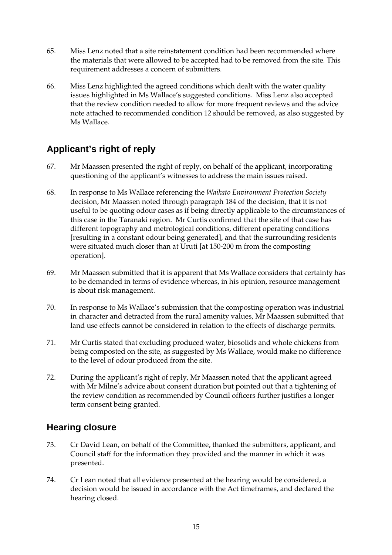- 65. Miss Lenz noted that a site reinstatement condition had been recommended where the materials that were allowed to be accepted had to be removed from the site. This requirement addresses a concern of submitters.
- 66. Miss Lenz highlighted the agreed conditions which dealt with the water quality issues highlighted in Ms Wallace's suggested conditions. Miss Lenz also accepted that the review condition needed to allow for more frequent reviews and the advice note attached to recommended condition 12 should be removed, as also suggested by Ms Wallace.

## **Applicant's right of reply**

- 67. Mr Maassen presented the right of reply, on behalf of the applicant, incorporating questioning of the applicant's witnesses to address the main issues raised.
- 68. In response to Ms Wallace referencing the *Waikato Environment Protection Society* decision, Mr Maassen noted through paragraph 184 of the decision, that it is not useful to be quoting odour cases as if being directly applicable to the circumstances of this case in the Taranaki region. Mr Curtis confirmed that the site of that case has different topography and metrological conditions, different operating conditions [resulting in a constant odour being generated], and that the surrounding residents were situated much closer than at Uruti [at 150-200 m from the composting operation].
- 69. Mr Maassen submitted that it is apparent that Ms Wallace considers that certainty has to be demanded in terms of evidence whereas, in his opinion, resource management is about risk management.
- 70. In response to Ms Wallace's submission that the composting operation was industrial in character and detracted from the rural amenity values, Mr Maassen submitted that land use effects cannot be considered in relation to the effects of discharge permits.
- 71. Mr Curtis stated that excluding produced water, biosolids and whole chickens from being composted on the site, as suggested by Ms Wallace, would make no difference to the level of odour produced from the site.
- 72. During the applicant's right of reply, Mr Maassen noted that the applicant agreed with Mr Milne's advice about consent duration but pointed out that a tightening of the review condition as recommended by Council officers further justifies a longer term consent being granted.

## **Hearing closure**

- 73. Cr David Lean, on behalf of the Committee, thanked the submitters, applicant, and Council staff for the information they provided and the manner in which it was presented.
- 74. Cr Lean noted that all evidence presented at the hearing would be considered, a decision would be issued in accordance with the Act timeframes, and declared the hearing closed.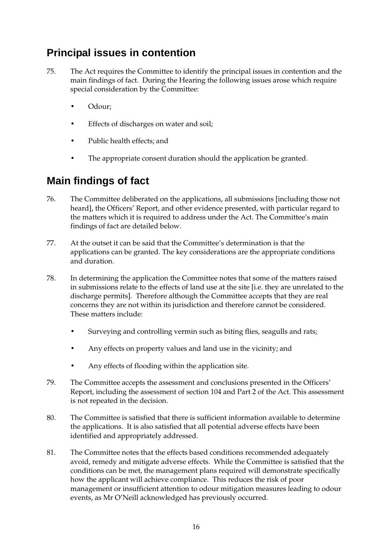# **Principal issues in contention**

- 75. The Act requires the Committee to identify the principal issues in contention and the main findings of fact. During the Hearing the following issues arose which require special consideration by the Committee:
	- Odour;
	- Effects of discharges on water and soil;
	- Public health effects; and
	- The appropriate consent duration should the application be granted.

# **Main findings of fact**

- 76. The Committee deliberated on the applications, all submissions [including those not heard], the Officers' Report, and other evidence presented, with particular regard to the matters which it is required to address under the Act. The Committee's main findings of fact are detailed below.
- 77. At the outset it can be said that the Committee's determination is that the applications can be granted. The key considerations are the appropriate conditions and duration.
- 78. In determining the application the Committee notes that some of the matters raised in submissions relate to the effects of land use at the site [i.e. they are unrelated to the discharge permits]. Therefore although the Committee accepts that they are real concerns they are not within its jurisdiction and therefore cannot be considered. These matters include:
	- Surveying and controlling vermin such as biting flies, seagulls and rats;
	- Any effects on property values and land use in the vicinity; and
	- Any effects of flooding within the application site.
- 79. The Committee accepts the assessment and conclusions presented in the Officers' Report, including the assessment of section 104 and Part 2 of the Act. This assessment is not repeated in the decision.
- 80. The Committee is satisfied that there is sufficient information available to determine the applications. It is also satisfied that all potential adverse effects have been identified and appropriately addressed.
- 81. The Committee notes that the effects based conditions recommended adequately avoid, remedy and mitigate adverse effects. While the Committee is satisfied that the conditions can be met, the management plans required will demonstrate specifically how the applicant will achieve compliance. This reduces the risk of poor management or insufficient attention to odour mitigation measures leading to odour events, as Mr O'Neill acknowledged has previously occurred.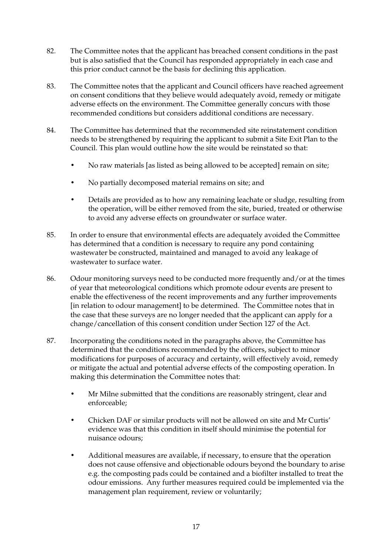- 82. The Committee notes that the applicant has breached consent conditions in the past but is also satisfied that the Council has responded appropriately in each case and this prior conduct cannot be the basis for declining this application.
- 83. The Committee notes that the applicant and Council officers have reached agreement on consent conditions that they believe would adequately avoid, remedy or mitigate adverse effects on the environment. The Committee generally concurs with those recommended conditions but considers additional conditions are necessary.
- 84. The Committee has determined that the recommended site reinstatement condition needs to be strengthened by requiring the applicant to submit a Site Exit Plan to the Council. This plan would outline how the site would be reinstated so that:
	- No raw materials [as listed as being allowed to be accepted] remain on site;
	- No partially decomposed material remains on site; and
	- Details are provided as to how any remaining leachate or sludge, resulting from the operation, will be either removed from the site, buried, treated or otherwise to avoid any adverse effects on groundwater or surface water.
- 85. In order to ensure that environmental effects are adequately avoided the Committee has determined that a condition is necessary to require any pond containing wastewater be constructed, maintained and managed to avoid any leakage of wastewater to surface water.
- 86. Odour monitoring surveys need to be conducted more frequently and/or at the times of year that meteorological conditions which promote odour events are present to enable the effectiveness of the recent improvements and any further improvements [in relation to odour management] to be determined. The Committee notes that in the case that these surveys are no longer needed that the applicant can apply for a change/cancellation of this consent condition under Section 127 of the Act.
- 87. Incorporating the conditions noted in the paragraphs above, the Committee has determined that the conditions recommended by the officers, subject to minor modifications for purposes of accuracy and certainty, will effectively avoid, remedy or mitigate the actual and potential adverse effects of the composting operation. In making this determination the Committee notes that:
	- Mr Milne submitted that the conditions are reasonably stringent, clear and enforceable;
	- Chicken DAF or similar products will not be allowed on site and Mr Curtis' evidence was that this condition in itself should minimise the potential for nuisance odours;
	- Additional measures are available, if necessary, to ensure that the operation does not cause offensive and objectionable odours beyond the boundary to arise e.g. the composting pads could be contained and a biofilter installed to treat the odour emissions. Any further measures required could be implemented via the management plan requirement, review or voluntarily;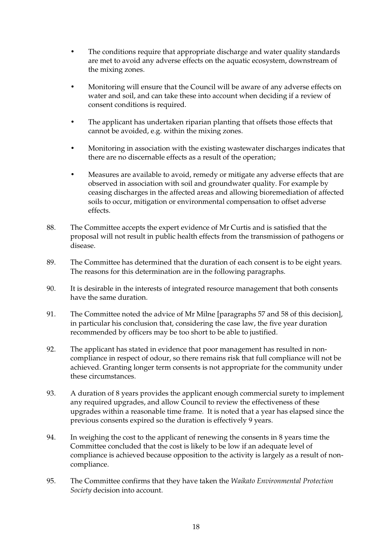- The conditions require that appropriate discharge and water quality standards are met to avoid any adverse effects on the aquatic ecosystem, downstream of the mixing zones.
- Monitoring will ensure that the Council will be aware of any adverse effects on water and soil, and can take these into account when deciding if a review of consent conditions is required.
- The applicant has undertaken riparian planting that offsets those effects that cannot be avoided, e.g. within the mixing zones.
- Monitoring in association with the existing wastewater discharges indicates that there are no discernable effects as a result of the operation;
- Measures are available to avoid, remedy or mitigate any adverse effects that are observed in association with soil and groundwater quality. For example by ceasing discharges in the affected areas and allowing bioremediation of affected soils to occur, mitigation or environmental compensation to offset adverse effects.
- 88. The Committee accepts the expert evidence of Mr Curtis and is satisfied that the proposal will not result in public health effects from the transmission of pathogens or disease.
- 89. The Committee has determined that the duration of each consent is to be eight years. The reasons for this determination are in the following paragraphs.
- 90. It is desirable in the interests of integrated resource management that both consents have the same duration.
- 91. The Committee noted the advice of Mr Milne [paragraphs 57 and 58 of this decision], in particular his conclusion that, considering the case law, the five year duration recommended by officers may be too short to be able to justified.
- 92. The applicant has stated in evidence that poor management has resulted in noncompliance in respect of odour, so there remains risk that full compliance will not be achieved. Granting longer term consents is not appropriate for the community under these circumstances.
- 93. A duration of 8 years provides the applicant enough commercial surety to implement any required upgrades, and allow Council to review the effectiveness of these upgrades within a reasonable time frame. It is noted that a year has elapsed since the previous consents expired so the duration is effectively 9 years.
- 94. In weighing the cost to the applicant of renewing the consents in 8 years time the Committee concluded that the cost is likely to be low if an adequate level of compliance is achieved because opposition to the activity is largely as a result of noncompliance.
- 95. The Committee confirms that they have taken the *Waikato Environmental Protection Society* decision into account.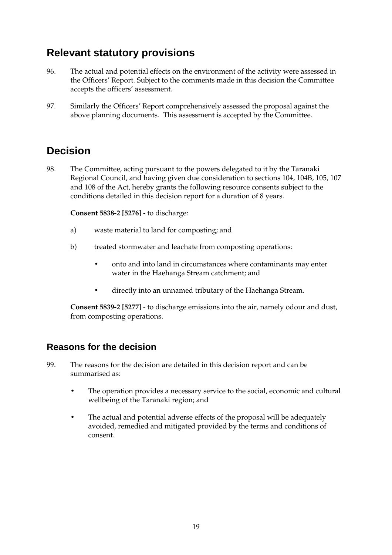# **Relevant statutory provisions**

- 96. The actual and potential effects on the environment of the activity were assessed in the Officers' Report. Subject to the comments made in this decision the Committee accepts the officers' assessment.
- 97. Similarly the Officers' Report comprehensively assessed the proposal against the above planning documents. This assessment is accepted by the Committee.

# **Decision**

98. The Committee, acting pursuant to the powers delegated to it by the Taranaki Regional Council, and having given due consideration to sections 104, 104B, 105, 107 and 108 of the Act, hereby grants the following resource consents subject to the conditions detailed in this decision report for a duration of 8 years.

**Consent 5838-2 [5276] -** to discharge:

- a) waste material to land for composting; and
- b) treated stormwater and leachate from composting operations:
	- onto and into land in circumstances where contaminants may enter water in the Haehanga Stream catchment; and
	- directly into an unnamed tributary of the Haehanga Stream.

**Consent 5839-2 [5277]** - to discharge emissions into the air, namely odour and dust, from composting operations.

## **Reasons for the decision**

- 99. The reasons for the decision are detailed in this decision report and can be summarised as:
	- The operation provides a necessary service to the social, economic and cultural wellbeing of the Taranaki region; and
	- The actual and potential adverse effects of the proposal will be adequately avoided, remedied and mitigated provided by the terms and conditions of consent.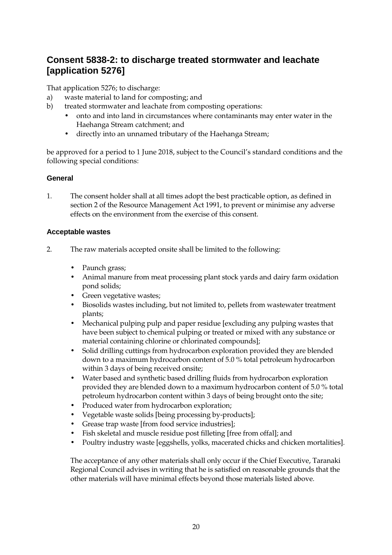## **Consent 5838-2: to discharge treated stormwater and leachate [application 5276]**

That application 5276; to discharge:

- a) waste material to land for composting; and
- b) treated stormwater and leachate from composting operations:
	- onto and into land in circumstances where contaminants may enter water in the Haehanga Stream catchment; and
	- directly into an unnamed tributary of the Haehanga Stream;

be approved for a period to 1 June 2018, subject to the Council's standard conditions and the following special conditions:

#### **General**

1. The consent holder shall at all times adopt the best practicable option, as defined in section 2 of the Resource Management Act 1991, to prevent or minimise any adverse effects on the environment from the exercise of this consent.

#### **Acceptable wastes**

- 2. The raw materials accepted onsite shall be limited to the following:
	- Paunch grass;
	- Animal manure from meat processing plant stock yards and dairy farm oxidation pond solids;
	- Green vegetative wastes;
	- Biosolids wastes including, but not limited to, pellets from wastewater treatment plants;
	- Mechanical pulping pulp and paper residue [excluding any pulping wastes that have been subject to chemical pulping or treated or mixed with any substance or material containing chlorine or chlorinated compounds];
	- Solid drilling cuttings from hydrocarbon exploration provided they are blended down to a maximum hydrocarbon content of 5.0 % total petroleum hydrocarbon within 3 days of being received onsite;
	- Water based and synthetic based drilling fluids from hydrocarbon exploration provided they are blended down to a maximum hydrocarbon content of 5.0 % total petroleum hydrocarbon content within 3 days of being brought onto the site;
	- Produced water from hydrocarbon exploration;
	- Vegetable waste solids [being processing by-products];
	- Grease trap waste [from food service industries];
	- Fish skeletal and muscle residue post filleting [free from offal]; and
	- Poultry industry waste [eggshells, yolks, macerated chicks and chicken mortalities].

The acceptance of any other materials shall only occur if the Chief Executive, Taranaki Regional Council advises in writing that he is satisfied on reasonable grounds that the other materials will have minimal effects beyond those materials listed above.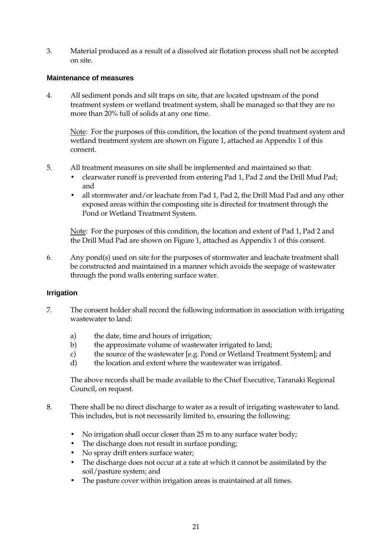3. Material produced as a result of a dissolved air flotation process shall not be accepted on site.

#### **Maintenance of measures**

4. All sediment ponds and silt traps on site, that are located upstream of the pond treatment system or wetland treatment system, shall be managed so that they are no more than 20% full of solids at any one time.

Note: For the purposes of this condition, the location of the pond treatment system and wetland treatment system are shown on Figure 1, attached as Appendix 1 of this consent.

- 5. All treatment measures on site shall be implemented and maintained so that:
	- clearwater runoff is prevented from entering Pad 1, Pad 2 and the Drill Mud Pad; and
	- all stormwater and/or leachate from Pad 1, Pad 2, the Drill Mud Pad and any other exposed areas within the composting site is directed for treatment through the Pond or Wetland Treatment System.

Note: For the purposes of this condition, the location and extent of Pad 1, Pad 2 and the Drill Mud Pad are shown on Figure 1, attached as Appendix 1 of this consent.

6. Any pond(s) used on site for the purposes of stormwater and leachate treatment shall be constructed and maintained in a manner which avoids the seepage of wastewater through the pond walls entering surface water.

#### **Irrigation**

- 7. The consent holder shall record the following information in association with irrigating wastewater to land:
	- a) the date, time and hours of irrigation;
	- b) the approximate volume of wastewater irrigated to land;
	- c) the source of the wastewater [e.g. Pond or Wetland Treatment System]; and
	- d) the location and extent where the wastewater was irrigated.

 The above records shall be made available to the Chief Executive, Taranaki Regional Council, on request.

- 8. There shall be no direct discharge to water as a result of irrigating wastewater to land. This includes, but is not necessarily limited to, ensuring the following:
	- No irrigation shall occur closer than 25 m to any surface water body;
	- The discharge does not result in surface ponding;
	- No spray drift enters surface water;
	- The discharge does not occur at a rate at which it cannot be assimilated by the soil/pasture system; and
	- The pasture cover within irrigation areas is maintained at all times.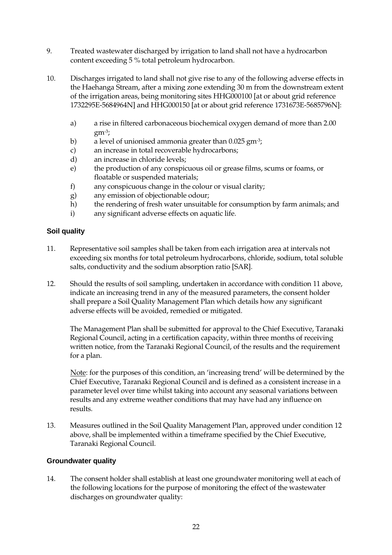- 9. Treated wastewater discharged by irrigation to land shall not have a hydrocarbon content exceeding 5 % total petroleum hydrocarbon.
- 10. Discharges irrigated to land shall not give rise to any of the following adverse effects in the Haehanga Stream, after a mixing zone extending 30 m from the downstream extent of the irrigation areas, being monitoring sites HHG000100 [at or about grid reference 1732295E-5684964N] and HHG000150 [at or about grid reference 1731673E-5685796N]:
	- a) a rise in filtered carbonaceous biochemical oxygen demand of more than 2.00  $gm<sup>-3</sup>$ ;
	- b) a level of unionised ammonia greater than 0.025 gm<sup>-3</sup>;
	- c) an increase in total recoverable hydrocarbons;
	- d) an increase in chloride levels;
	- e) the production of any conspicuous oil or grease films, scums or foams, or floatable or suspended materials;
	- f) any conspicuous change in the colour or visual clarity;
	- g) any emission of objectionable odour;
	- h) the rendering of fresh water unsuitable for consumption by farm animals; and
	- i) any significant adverse effects on aquatic life.

#### **Soil quality**

- 11. Representative soil samples shall be taken from each irrigation area at intervals not exceeding six months for total petroleum hydrocarbons, chloride, sodium, total soluble salts, conductivity and the sodium absorption ratio [SAR].
- 12. Should the results of soil sampling, undertaken in accordance with condition 11 above, indicate an increasing trend in any of the measured parameters, the consent holder shall prepare a Soil Quality Management Plan which details how any significant adverse effects will be avoided, remedied or mitigated.

The Management Plan shall be submitted for approval to the Chief Executive, Taranaki Regional Council, acting in a certification capacity, within three months of receiving written notice, from the Taranaki Regional Council, of the results and the requirement for a plan.

Note: for the purposes of this condition, an 'increasing trend' will be determined by the Chief Executive, Taranaki Regional Council and is defined as a consistent increase in a parameter level over time whilst taking into account any seasonal variations between results and any extreme weather conditions that may have had any influence on results.

13. Measures outlined in the Soil Quality Management Plan, approved under condition 12 above, shall be implemented within a timeframe specified by the Chief Executive, Taranaki Regional Council.

#### **Groundwater quality**

14. The consent holder shall establish at least one groundwater monitoring well at each of the following locations for the purpose of monitoring the effect of the wastewater discharges on groundwater quality: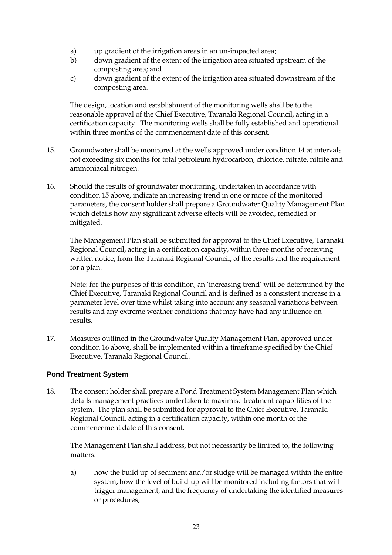- a) up gradient of the irrigation areas in an un-impacted area;
- b) down gradient of the extent of the irrigation area situated upstream of the composting area; and
- c) down gradient of the extent of the irrigation area situated downstream of the composting area.

The design, location and establishment of the monitoring wells shall be to the reasonable approval of the Chief Executive, Taranaki Regional Council, acting in a certification capacity. The monitoring wells shall be fully established and operational within three months of the commencement date of this consent.

- 15. Groundwater shall be monitored at the wells approved under condition 14 at intervals not exceeding six months for total petroleum hydrocarbon, chloride, nitrate, nitrite and ammoniacal nitrogen.
- 16. Should the results of groundwater monitoring, undertaken in accordance with condition 15 above, indicate an increasing trend in one or more of the monitored parameters, the consent holder shall prepare a Groundwater Quality Management Plan which details how any significant adverse effects will be avoided, remedied or mitigated.

The Management Plan shall be submitted for approval to the Chief Executive, Taranaki Regional Council, acting in a certification capacity, within three months of receiving written notice, from the Taranaki Regional Council, of the results and the requirement for a plan.

Note: for the purposes of this condition, an 'increasing trend' will be determined by the Chief Executive, Taranaki Regional Council and is defined as a consistent increase in a parameter level over time whilst taking into account any seasonal variations between results and any extreme weather conditions that may have had any influence on results.

17. Measures outlined in the Groundwater Quality Management Plan, approved under condition 16 above, shall be implemented within a timeframe specified by the Chief Executive, Taranaki Regional Council.

#### **Pond Treatment System**

18. The consent holder shall prepare a Pond Treatment System Management Plan which details management practices undertaken to maximise treatment capabilities of the system. The plan shall be submitted for approval to the Chief Executive, Taranaki Regional Council, acting in a certification capacity, within one month of the commencement date of this consent.

The Management Plan shall address, but not necessarily be limited to, the following matters:

a) how the build up of sediment and/or sludge will be managed within the entire system, how the level of build-up will be monitored including factors that will trigger management, and the frequency of undertaking the identified measures or procedures;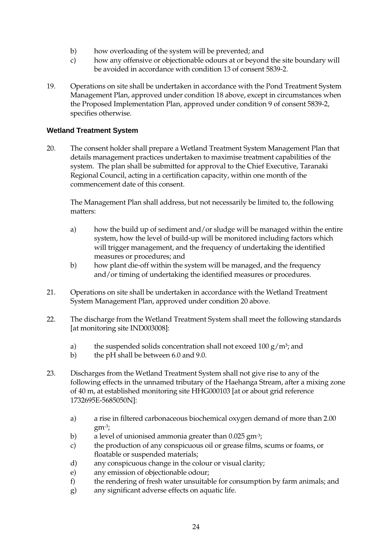- b) how overloading of the system will be prevented; and
- c) how any offensive or objectionable odours at or beyond the site boundary will be avoided in accordance with condition 13 of consent 5839-2.
- 19. Operations on site shall be undertaken in accordance with the Pond Treatment System Management Plan, approved under condition 18 above, except in circumstances when the Proposed Implementation Plan, approved under condition 9 of consent 5839-2, specifies otherwise.

#### **Wetland Treatment System**

20. The consent holder shall prepare a Wetland Treatment System Management Plan that details management practices undertaken to maximise treatment capabilities of the system. The plan shall be submitted for approval to the Chief Executive, Taranaki Regional Council, acting in a certification capacity, within one month of the commencement date of this consent.

The Management Plan shall address, but not necessarily be limited to, the following matters:

- a) how the build up of sediment and/or sludge will be managed within the entire system, how the level of build-up will be monitored including factors which will trigger management, and the frequency of undertaking the identified measures or procedures; and
- b) how plant die-off within the system will be managed, and the frequency and/or timing of undertaking the identified measures or procedures.
- 21. Operations on site shall be undertaken in accordance with the Wetland Treatment System Management Plan, approved under condition 20 above.
- 22. The discharge from the Wetland Treatment System shall meet the following standards [at monitoring site IND003008]:
	- a) the suspended solids concentration shall not exceed  $100 \text{ g/m}^3$ ; and
	- b) the pH shall be between 6.0 and 9.0.
- 23. Discharges from the Wetland Treatment System shall not give rise to any of the following effects in the unnamed tributary of the Haehanga Stream, after a mixing zone of 40 m, at established monitoring site HHG000103 [at or about grid reference 1732695E-5685050N]:
	- a) a rise in filtered carbonaceous biochemical oxygen demand of more than 2.00 gm-3;
	- b) a level of unionised ammonia greater than 0.025 gm<sup>-3</sup>;
	- c) the production of any conspicuous oil or grease films, scums or foams, or floatable or suspended materials;
	- d) any conspicuous change in the colour or visual clarity;
	- e) any emission of objectionable odour;
	- f) the rendering of fresh water unsuitable for consumption by farm animals; and
	- g) any significant adverse effects on aquatic life.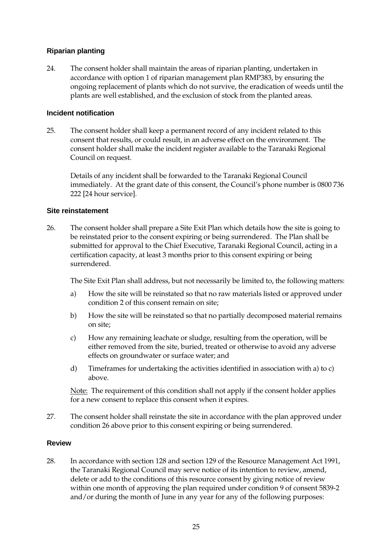#### **Riparian planting**

24. The consent holder shall maintain the areas of riparian planting, undertaken in accordance with option 1 of riparian management plan RMP383, by ensuring the ongoing replacement of plants which do not survive, the eradication of weeds until the plants are well established, and the exclusion of stock from the planted areas.

#### **Incident notification**

25. The consent holder shall keep a permanent record of any incident related to this consent that results, or could result, in an adverse effect on the environment. The consent holder shall make the incident register available to the Taranaki Regional Council on request.

 Details of any incident shall be forwarded to the Taranaki Regional Council immediately. At the grant date of this consent, the Council's phone number is 0800 736 222 [24 hour service].

#### **Site reinstatement**

26. The consent holder shall prepare a Site Exit Plan which details how the site is going to be reinstated prior to the consent expiring or being surrendered. The Plan shall be submitted for approval to the Chief Executive, Taranaki Regional Council, acting in a certification capacity, at least 3 months prior to this consent expiring or being surrendered.

The Site Exit Plan shall address, but not necessarily be limited to, the following matters:

- a) How the site will be reinstated so that no raw materials listed or approved under condition 2 of this consent remain on site;
- b) How the site will be reinstated so that no partially decomposed material remains on site;
- c) How any remaining leachate or sludge, resulting from the operation, will be either removed from the site, buried, treated or otherwise to avoid any adverse effects on groundwater or surface water; and
- d) Timeframes for undertaking the activities identified in association with a) to c) above.

Note: The requirement of this condition shall not apply if the consent holder applies for a new consent to replace this consent when it expires.

27. The consent holder shall reinstate the site in accordance with the plan approved under condition 26 above prior to this consent expiring or being surrendered.

#### **Review**

28. In accordance with section 128 and section 129 of the Resource Management Act 1991, the Taranaki Regional Council may serve notice of its intention to review, amend, delete or add to the conditions of this resource consent by giving notice of review within one month of approving the plan required under condition 9 of consent 5839-2 and/or during the month of June in any year for any of the following purposes: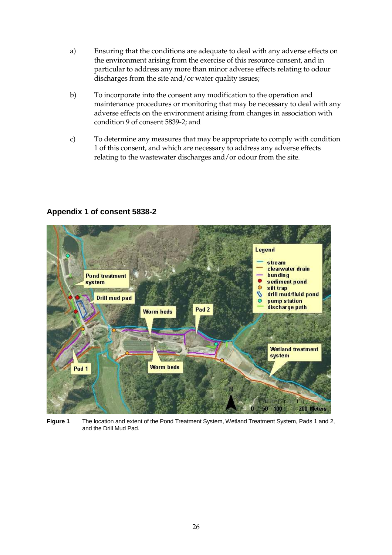- a) Ensuring that the conditions are adequate to deal with any adverse effects on the environment arising from the exercise of this resource consent, and in particular to address any more than minor adverse effects relating to odour discharges from the site and/or water quality issues;
- b) To incorporate into the consent any modification to the operation and maintenance procedures or monitoring that may be necessary to deal with any adverse effects on the environment arising from changes in association with condition 9 of consent 5839-2; and
- c) To determine any measures that may be appropriate to comply with condition 1 of this consent, and which are necessary to address any adverse effects relating to the wastewater discharges and/or odour from the site.



### **Appendix 1 of consent 5838-2**

**Figure 1** The location and extent of the Pond Treatment System, Wetland Treatment System, Pads 1 and 2, and the Drill Mud Pad.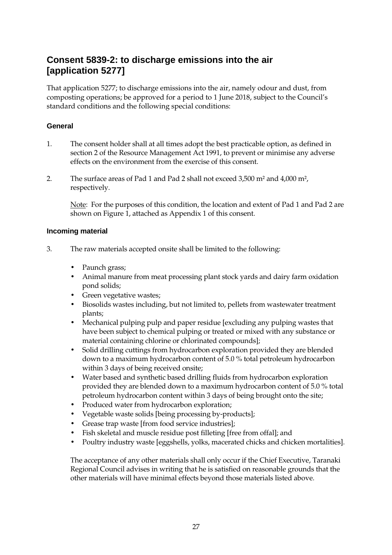## **Consent 5839-2: to discharge emissions into the air [application 5277]**

That application 5277; to discharge emissions into the air, namely odour and dust, from composting operations; be approved for a period to 1 June 2018, subject to the Council's standard conditions and the following special conditions:

#### **General**

- 1. The consent holder shall at all times adopt the best practicable option, as defined in section 2 of the Resource Management Act 1991, to prevent or minimise any adverse effects on the environment from the exercise of this consent.
- 2. The surface areas of Pad 1 and Pad 2 shall not exceed 3,500 m² and 4,000 m², respectively.

Note: For the purposes of this condition, the location and extent of Pad 1 and Pad 2 are shown on Figure 1, attached as Appendix 1 of this consent.

#### **Incoming material**

- 3. The raw materials accepted onsite shall be limited to the following:
	- Paunch grass;
	- Animal manure from meat processing plant stock yards and dairy farm oxidation pond solids;
	- Green vegetative wastes;
	- Biosolids wastes including, but not limited to, pellets from wastewater treatment plants;
	- Mechanical pulping pulp and paper residue [excluding any pulping wastes that have been subject to chemical pulping or treated or mixed with any substance or material containing chlorine or chlorinated compounds];
	- Solid drilling cuttings from hydrocarbon exploration provided they are blended down to a maximum hydrocarbon content of 5.0 % total petroleum hydrocarbon within 3 days of being received onsite;
	- Water based and synthetic based drilling fluids from hydrocarbon exploration provided they are blended down to a maximum hydrocarbon content of 5.0 % total petroleum hydrocarbon content within 3 days of being brought onto the site;
	- Produced water from hydrocarbon exploration;
	- Vegetable waste solids [being processing by-products];
	- Grease trap waste [from food service industries];
	- Fish skeletal and muscle residue post filleting [free from offal]; and
	- Poultry industry waste [eggshells, yolks, macerated chicks and chicken mortalities].

The acceptance of any other materials shall only occur if the Chief Executive, Taranaki Regional Council advises in writing that he is satisfied on reasonable grounds that the other materials will have minimal effects beyond those materials listed above.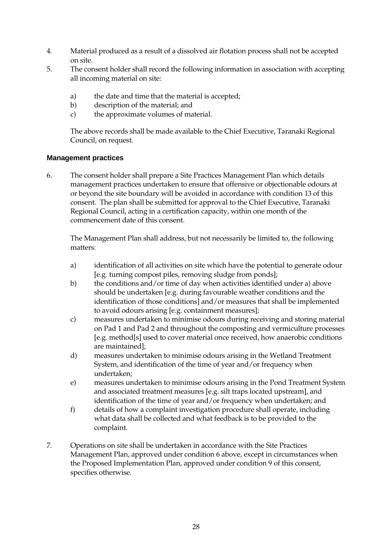- 4. Material produced as a result of a dissolved air flotation process shall not be accepted on site.
- 5. The consent holder shall record the following information in association with accepting all incoming material on site:
	- a) the date and time that the material is accepted;
	- b) description of the material; and
	- c) the approximate volumes of material.

The above records shall be made available to the Chief Executive, Taranaki Regional Council, on request.

#### **Management practices**

6. The consent holder shall prepare a Site Practices Management Plan which details management practices undertaken to ensure that offensive or objectionable odours at or beyond the site boundary will be avoided in accordance with condition 13 of this consent. The plan shall be submitted for approval to the Chief Executive, Taranaki Regional Council, acting in a certification capacity, within one month of the commencement date of this consent.

 The Management Plan shall address, but not necessarily be limited to, the following matters:

- a) identification of all activities on site which have the potential to generate odour [e.g. turning compost piles, removing sludge from ponds];
- b) the conditions and/or time of day when activities identified under a) above should be undertaken [e.g. during favourable weather conditions and the identification of those conditions] and/or measures that shall be implemented to avoid odours arising [e.g. containment measures];
- c) measures undertaken to minimise odours during receiving and storing material on Pad 1 and Pad 2 and throughout the composting and vermiculture processes [e.g. method[s] used to cover material once received, how anaerobic conditions are maintained];
- d) measures undertaken to minimise odours arising in the Wetland Treatment System, and identification of the time of year and/or frequency when undertaken;
- e) measures undertaken to minimise odours arising in the Pond Treatment System and associated treatment measures [e.g. silt traps located upstream], and identification of the time of year and/or frequency when undertaken; and
- f) details of how a complaint investigation procedure shall operate, including what data shall be collected and what feedback is to be provided to the complaint.
- 7. Operations on site shall be undertaken in accordance with the Site Practices Management Plan, approved under condition 6 above, except in circumstances when the Proposed Implementation Plan, approved under condition 9 of this consent, specifies otherwise.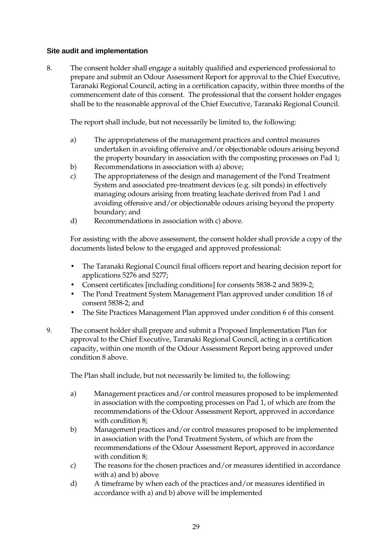#### **Site audit and implementation**

8. The consent holder shall engage a suitably qualified and experienced professional to prepare and submit an Odour Assessment Report for approval to the Chief Executive, Taranaki Regional Council, acting in a certification capacity, within three months of the commencement date of this consent. The professional that the consent holder engages shall be to the reasonable approval of the Chief Executive, Taranaki Regional Council.

The report shall include, but not necessarily be limited to, the following:

- a) The appropriateness of the management practices and control measures undertaken in avoiding offensive and/or objectionable odours arising beyond the property boundary in association with the composting processes on Pad 1;
- b) Recommendations in association with a) above;
- c) The appropriateness of the design and management of the Pond Treatment System and associated pre-treatment devices (e.g. silt ponds) in effectively managing odours arising from treating leachate derived from Pad 1 and avoiding offensive and/or objectionable odours arising beyond the property boundary; and
- d) Recommendations in association with c) above.

For assisting with the above assessment, the consent holder shall provide a copy of the documents listed below to the engaged and approved professional:

- The Taranaki Regional Council final officers report and hearing decision report for applications 5276 and 5277;
- Consent certificates [including conditions] for consents 5838-2 and 5839-2;
- The Pond Treatment System Management Plan approved under condition 18 of consent 5838-2; and
- The Site Practices Management Plan approved under condition 6 of this consent.
- 9. The consent holder shall prepare and submit a Proposed Implementation Plan for approval to the Chief Executive, Taranaki Regional Council, acting in a certification capacity, within one month of the Odour Assessment Report being approved under condition 8 above.

The Plan shall include, but not necessarily be limited to, the following:

- a) Management practices and/or control measures proposed to be implemented in association with the composting processes on Pad 1, of which are from the recommendations of the Odour Assessment Report, approved in accordance with condition 8;
- b) Management practices and/or control measures proposed to be implemented in association with the Pond Treatment System, of which are from the recommendations of the Odour Assessment Report, approved in accordance with condition 8;
- c) The reasons for the chosen practices and/or measures identified in accordance with a) and b) above
- d) A timeframe by when each of the practices and/or measures identified in accordance with a) and b) above will be implemented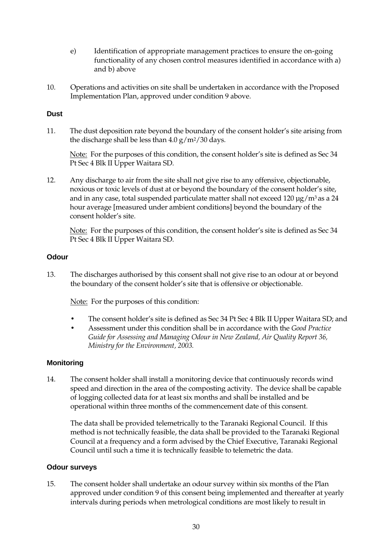- e) Identification of appropriate management practices to ensure the on-going functionality of any chosen control measures identified in accordance with a) and b) above
- 10. Operations and activities on site shall be undertaken in accordance with the Proposed Implementation Plan, approved under condition 9 above.

#### **Dust**

11. The dust deposition rate beyond the boundary of the consent holder's site arising from the discharge shall be less than  $4.0 \text{ g/m}^2/30 \text{ days}.$ 

 Note: For the purposes of this condition, the consent holder's site is defined as Sec 34 Pt Sec 4 Blk II Upper Waitara SD.

12. Any discharge to air from the site shall not give rise to any offensive, objectionable, noxious or toxic levels of dust at or beyond the boundary of the consent holder's site, and in any case, total suspended particulate matter shall not exceed  $120 \mu g/m^3$  as a  $24$ hour average [measured under ambient conditions] beyond the boundary of the consent holder's site.

 Note: For the purposes of this condition, the consent holder's site is defined as Sec 34 Pt Sec 4 Blk II Upper Waitara SD.

#### **Odour**

13. The discharges authorised by this consent shall not give rise to an odour at or beyond the boundary of the consent holder's site that is offensive or objectionable.

Note: For the purposes of this condition:

- The consent holder's site is defined as Sec 34 Pt Sec 4 Blk II Upper Waitara SD; and
- Assessment under this condition shall be in accordance with the *Good Practice Guide for Assessing and Managing Odour in New Zealand, Air Quality Report 36, Ministry for the Environment, 2003.*

#### **Monitoring**

14. The consent holder shall install a monitoring device that continuously records wind speed and direction in the area of the composting activity. The device shall be capable of logging collected data for at least six months and shall be installed and be operational within three months of the commencement date of this consent.

The data shall be provided telemetrically to the Taranaki Regional Council. If this method is not technically feasible, the data shall be provided to the Taranaki Regional Council at a frequency and a form advised by the Chief Executive, Taranaki Regional Council until such a time it is technically feasible to telemetric the data.

#### **Odour surveys**

15. The consent holder shall undertake an odour survey within six months of the Plan approved under condition 9 of this consent being implemented and thereafter at yearly intervals during periods when metrological conditions are most likely to result in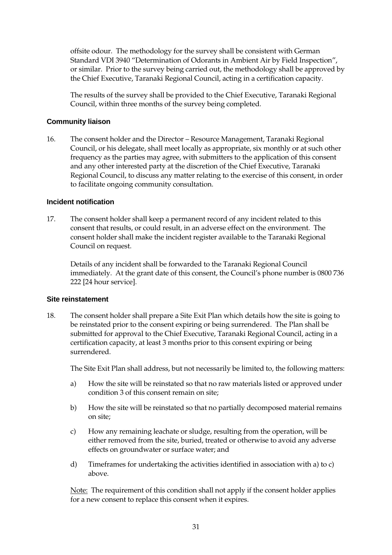offsite odour. The methodology for the survey shall be consistent with German Standard VDI 3940 "Determination of Odorants in Ambient Air by Field Inspection", or similar. Prior to the survey being carried out, the methodology shall be approved by the Chief Executive, Taranaki Regional Council, acting in a certification capacity.

The results of the survey shall be provided to the Chief Executive, Taranaki Regional Council, within three months of the survey being completed.

#### **Community liaison**

16. The consent holder and the Director – Resource Management, Taranaki Regional Council, or his delegate, shall meet locally as appropriate, six monthly or at such other frequency as the parties may agree, with submitters to the application of this consent and any other interested party at the discretion of the Chief Executive, Taranaki Regional Council, to discuss any matter relating to the exercise of this consent, in order to facilitate ongoing community consultation.

#### **Incident notification**

17. The consent holder shall keep a permanent record of any incident related to this consent that results, or could result, in an adverse effect on the environment. The consent holder shall make the incident register available to the Taranaki Regional Council on request.

 Details of any incident shall be forwarded to the Taranaki Regional Council immediately. At the grant date of this consent, the Council's phone number is 0800 736 222 [24 hour service].

#### **Site reinstatement**

18. The consent holder shall prepare a Site Exit Plan which details how the site is going to be reinstated prior to the consent expiring or being surrendered. The Plan shall be submitted for approval to the Chief Executive, Taranaki Regional Council, acting in a certification capacity, at least 3 months prior to this consent expiring or being surrendered.

The Site Exit Plan shall address, but not necessarily be limited to, the following matters:

- a) How the site will be reinstated so that no raw materials listed or approved under condition 3 of this consent remain on site;
- b) How the site will be reinstated so that no partially decomposed material remains on site;
- c) How any remaining leachate or sludge, resulting from the operation, will be either removed from the site, buried, treated or otherwise to avoid any adverse effects on groundwater or surface water; and
- d) Timeframes for undertaking the activities identified in association with a) to c) above.

Note: The requirement of this condition shall not apply if the consent holder applies for a new consent to replace this consent when it expires.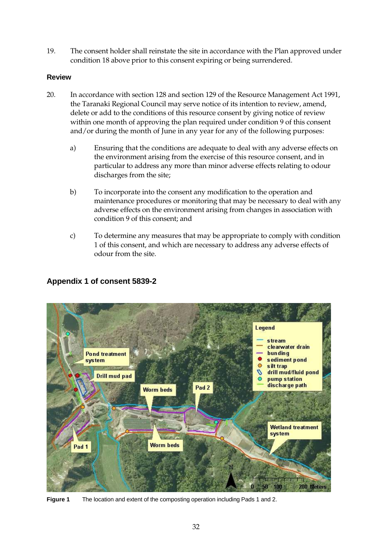19. The consent holder shall reinstate the site in accordance with the Plan approved under condition 18 above prior to this consent expiring or being surrendered.

#### **Review**

- 20. In accordance with section 128 and section 129 of the Resource Management Act 1991, the Taranaki Regional Council may serve notice of its intention to review, amend, delete or add to the conditions of this resource consent by giving notice of review within one month of approving the plan required under condition 9 of this consent and/or during the month of June in any year for any of the following purposes:
	- a) Ensuring that the conditions are adequate to deal with any adverse effects on the environment arising from the exercise of this resource consent, and in particular to address any more than minor adverse effects relating to odour discharges from the site;
	- b) To incorporate into the consent any modification to the operation and maintenance procedures or monitoring that may be necessary to deal with any adverse effects on the environment arising from changes in association with condition 9 of this consent; and
	- c) To determine any measures that may be appropriate to comply with condition 1 of this consent, and which are necessary to address any adverse effects of odour from the site.

#### Legend stream clearwater drain **Pond treatment bunding** sediment pond system Ò silt trap drill mud/fluid pond Ó **Drill mud pad** pump station discharge path Pad<sub>2</sub> **Worm beds Wetland treatment** system **Worm beds** Pad<sub>1</sub> 200 Meters 100

## **Appendix 1 of consent 5839-2**

**Figure 1** The location and extent of the composting operation including Pads 1 and 2.